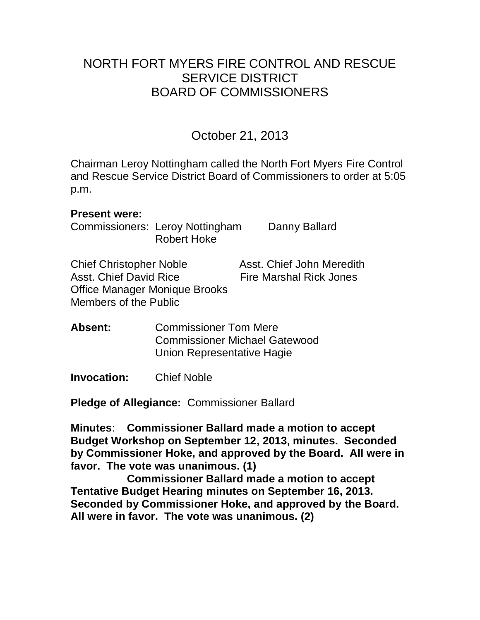## NORTH FORT MYERS FIRE CONTROL AND RESCUE SERVICE DISTRICT BOARD OF COMMISSIONERS

October 21, 2013

Chairman Leroy Nottingham called the North Fort Myers Fire Control and Rescue Service District Board of Commissioners to order at 5:05 p.m.

#### **Present were:**

Commissioners: Leroy Nottingham Danny Ballard Robert Hoke

Chief Christopher Noble Asst. Chief John Meredith Asst. Chief David Rice **Fire Marshal Rick Jones** Office Manager Monique Brooks Members of the Public

**Absent:** Commissioner Tom Mere Commissioner Michael Gatewood Union Representative Hagie

**Invocation:** Chief Noble

**Pledge of Allegiance:** Commissioner Ballard

**Minutes**: **Commissioner Ballard made a motion to accept Budget Workshop on September 12, 2013, minutes. Seconded by Commissioner Hoke, and approved by the Board. All were in favor. The vote was unanimous. (1)** 

**Commissioner Ballard made a motion to accept Tentative Budget Hearing minutes on September 16, 2013. Seconded by Commissioner Hoke, and approved by the Board. All were in favor. The vote was unanimous. (2)**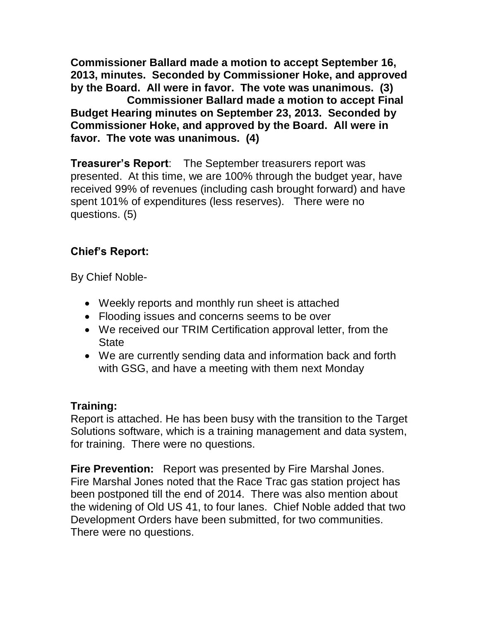**Commissioner Ballard made a motion to accept September 16, 2013, minutes. Seconded by Commissioner Hoke, and approved by the Board. All were in favor. The vote was unanimous. (3)**

**Commissioner Ballard made a motion to accept Final Budget Hearing minutes on September 23, 2013. Seconded by Commissioner Hoke, and approved by the Board. All were in favor. The vote was unanimous. (4)**

**Treasurer's Report**: The September treasurers report was presented. At this time, we are 100% through the budget year, have received 99% of revenues (including cash brought forward) and have spent 101% of expenditures (less reserves). There were no questions. (5)

### **Chief's Report:**

By Chief Noble-

- Weekly reports and monthly run sheet is attached
- Flooding issues and concerns seems to be over
- We received our TRIM Certification approval letter, from the **State**
- We are currently sending data and information back and forth with GSG, and have a meeting with them next Monday

#### **Training:**

Report is attached. He has been busy with the transition to the Target Solutions software, which is a training management and data system, for training. There were no questions.

**Fire Prevention:** Report was presented by Fire Marshal Jones. Fire Marshal Jones noted that the Race Trac gas station project has been postponed till the end of 2014. There was also mention about the widening of Old US 41, to four lanes. Chief Noble added that two Development Orders have been submitted, for two communities. There were no questions.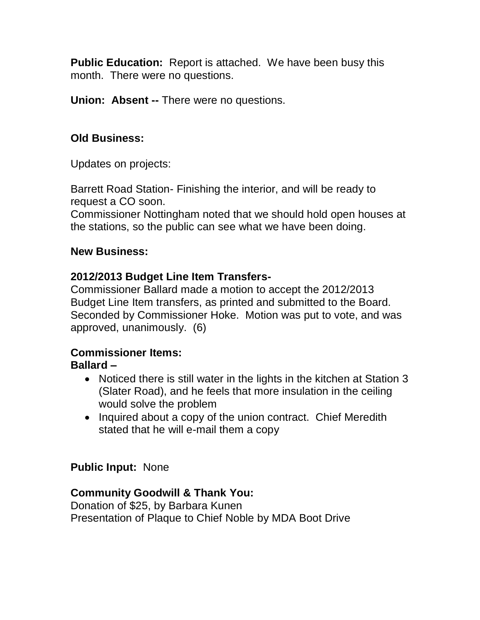**Public Education:** Report is attached. We have been busy this month. There were no questions.

**Union: Absent --** There were no questions.

#### **Old Business:**

Updates on projects:

Barrett Road Station- Finishing the interior, and will be ready to request a CO soon.

Commissioner Nottingham noted that we should hold open houses at the stations, so the public can see what we have been doing.

#### **New Business:**

#### **2012/2013 Budget Line Item Transfers-**

Commissioner Ballard made a motion to accept the 2012/2013 Budget Line Item transfers, as printed and submitted to the Board. Seconded by Commissioner Hoke. Motion was put to vote, and was approved, unanimously. (6)

# **Commissioner Items:**

#### **Ballard –**

- Noticed there is still water in the lights in the kitchen at Station 3 (Slater Road), and he feels that more insulation in the ceiling would solve the problem
- Inquired about a copy of the union contract. Chief Meredith stated that he will e-mail them a copy

#### **Public Input:** None

#### **Community Goodwill & Thank You:**

Donation of \$25, by Barbara Kunen Presentation of Plaque to Chief Noble by MDA Boot Drive